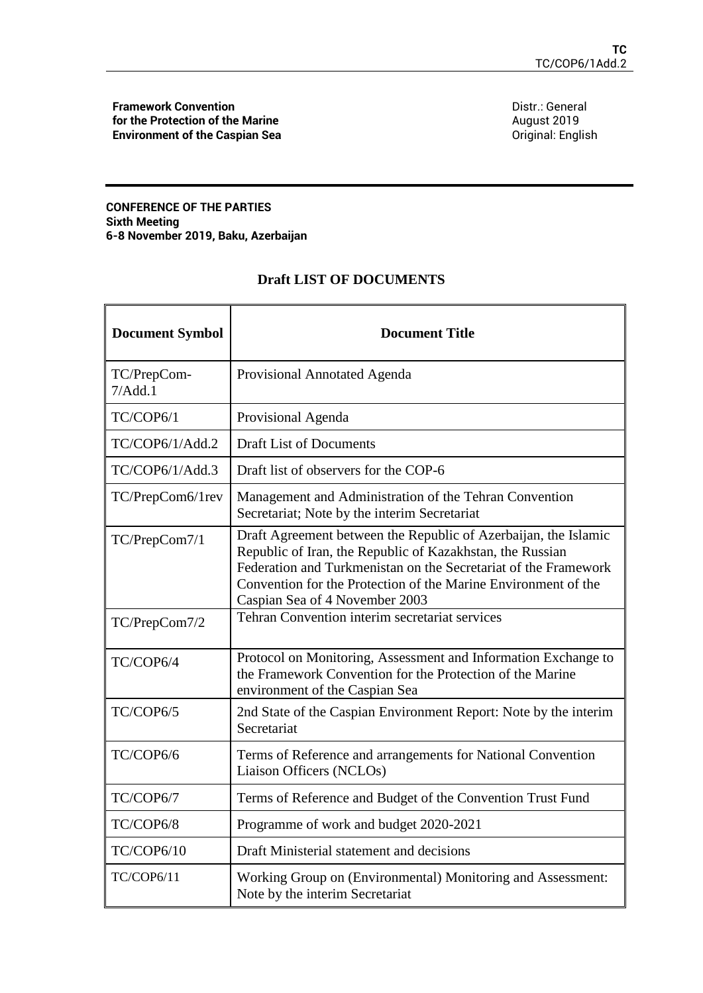**Framework Convention for the Protection of the Marine Environment of the Caspian Sea** Distr.: General August 2019 Original: English

## **CONFERENCE OF THE PARTIES Sixth Meeting 6-8 November 2019, Baku, Azerbaijan**

## **Draft LIST OF DOCUMENTS**

| <b>Document Symbol</b> | <b>Document Title</b>                                                                                                                                                                                                                                                                               |
|------------------------|-----------------------------------------------------------------------------------------------------------------------------------------------------------------------------------------------------------------------------------------------------------------------------------------------------|
| TC/PrepCom-<br>7/Add.1 | Provisional Annotated Agenda                                                                                                                                                                                                                                                                        |
| TC/COP6/1              | Provisional Agenda                                                                                                                                                                                                                                                                                  |
| TC/COP6/1/Add.2        | <b>Draft List of Documents</b>                                                                                                                                                                                                                                                                      |
| TC/COP6/1/Add.3        | Draft list of observers for the COP-6                                                                                                                                                                                                                                                               |
| TC/PrepCom6/1rev       | Management and Administration of the Tehran Convention<br>Secretariat; Note by the interim Secretariat                                                                                                                                                                                              |
| TC/PrepCom7/1          | Draft Agreement between the Republic of Azerbaijan, the Islamic<br>Republic of Iran, the Republic of Kazakhstan, the Russian<br>Federation and Turkmenistan on the Secretariat of the Framework<br>Convention for the Protection of the Marine Environment of the<br>Caspian Sea of 4 November 2003 |
| TC/PrepCom7/2          | Tehran Convention interim secretariat services                                                                                                                                                                                                                                                      |
| TC/COP6/4              | Protocol on Monitoring, Assessment and Information Exchange to<br>the Framework Convention for the Protection of the Marine<br>environment of the Caspian Sea                                                                                                                                       |
| TC/COP6/5              | 2nd State of the Caspian Environment Report: Note by the interim<br>Secretariat                                                                                                                                                                                                                     |
| TC/COP6/6              | Terms of Reference and arrangements for National Convention<br>Liaison Officers (NCLOs)                                                                                                                                                                                                             |
| TC/COP6/7              | Terms of Reference and Budget of the Convention Trust Fund                                                                                                                                                                                                                                          |
| TC/COP6/8              | Programme of work and budget 2020-2021                                                                                                                                                                                                                                                              |
| TC/COP6/10             | Draft Ministerial statement and decisions                                                                                                                                                                                                                                                           |
| TC/COP6/11             | Working Group on (Environmental) Monitoring and Assessment:<br>Note by the interim Secretariat                                                                                                                                                                                                      |